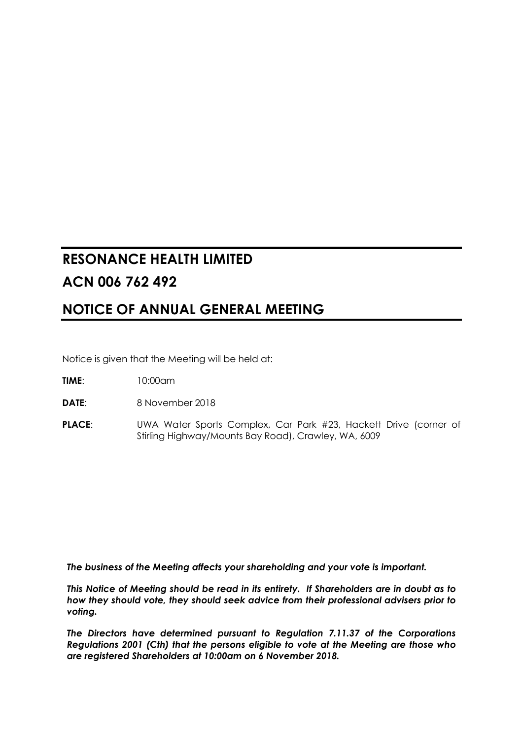# **RESONANCE HEALTH LIMITED ACN 006 762 492**

## **NOTICE OF ANNUAL GENERAL MEETING**

Notice is given that the Meeting will be held at:

- **TIME**: 10:00am
- **DATE**: 8 November 2018
- **PLACE:** UWA Water Sports Complex, Car Park #23, Hackett Drive (corner of Stirling Highway/Mounts Bay Road), Crawley, WA, 6009

*The business of the Meeting affects your shareholding and your vote is important.*

*This Notice of Meeting should be read in its entirety. If Shareholders are in doubt as to how they should vote, they should seek advice from their professional advisers prior to voting.*

*The Directors have determined pursuant to Regulation 7.11.37 of the Corporations Regulations 2001 (Cth) that the persons eligible to vote at the Meeting are those who are registered Shareholders at 10:00am on 6 November 2018.*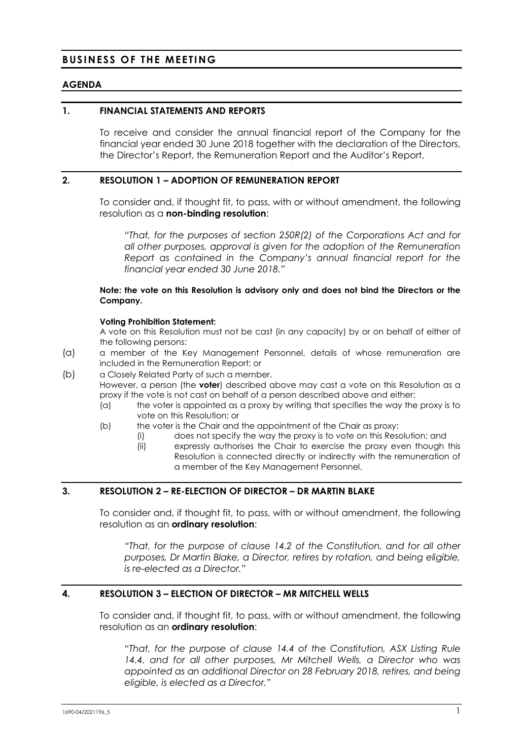## **BUSINESS OF THE MEETING**

## **AGENDA**

#### **1. FINANCIAL STATEMENTS AND REPORTS**

To receive and consider the annual financial report of the Company for the financial year ended 30 June 2018 together with the declaration of the Directors, the Director's Report, the Remuneration Report and the Auditor's Report.

## **2. RESOLUTION 1 – ADOPTION OF REMUNERATION REPORT**

To consider and, if thought fit, to pass, with or without amendment, the following resolution as a **non-binding resolution**:

*"That, for the purposes of section 250R(2) of the Corporations Act and for all other purposes, approval is given for the adoption of the Remuneration Report as contained in the Company's annual financial report for the financial year ended 30 June 2018."*

#### **Note: the vote on this Resolution is advisory only and does not bind the Directors or the Company.**

#### **Voting Prohibition Statement:**

A vote on this Resolution must not be cast (in any capacity) by or on behalf of either of the following persons:

- (a) a member of the Key Management Personnel, details of whose remuneration are included in the Remuneration Report; or
- (b) a Closely Related Party of such a member.

However, a person (the **voter**) described above may cast a vote on this Resolution as a proxy if the vote is not cast on behalf of a person described above and either:

- (a) the voter is appointed as a proxy by writing that specifies the way the proxy is to vote on this Resolution; or
- (b) the voter is the Chair and the appointment of the Chair as proxy:
	- (i) does not specify the way the proxy is to vote on this Resolution; and
	- (ii) expressly authorises the Chair to exercise the proxy even though this Resolution is connected directly or indirectly with the remuneration of a member of the Key Management Personnel.

## **3. RESOLUTION 2 – RE-ELECTION OF DIRECTOR – DR MARTIN BLAKE**

To consider and, if thought fit, to pass, with or without amendment, the following resolution as an **ordinary resolution**:

*"That, for the purpose of clause 14.2 of the Constitution, and for all other purposes, Dr Martin Blake, a Director, retires by rotation, and being eligible, is re-elected as a Director."*

## **4. RESOLUTION 3 – ELECTION OF DIRECTOR – MR MITCHELL WELLS**

To consider and, if thought fit, to pass, with or without amendment, the following resolution as an **ordinary resolution**:

*"That, for the purpose of clause 14.4 of the Constitution, ASX Listing Rule 14.4, and for all other purposes, Mr Mitchell Wells, a Director who was appointed as an additional Director on 28 February 2018, retires, and being eligible, is elected as a Director."*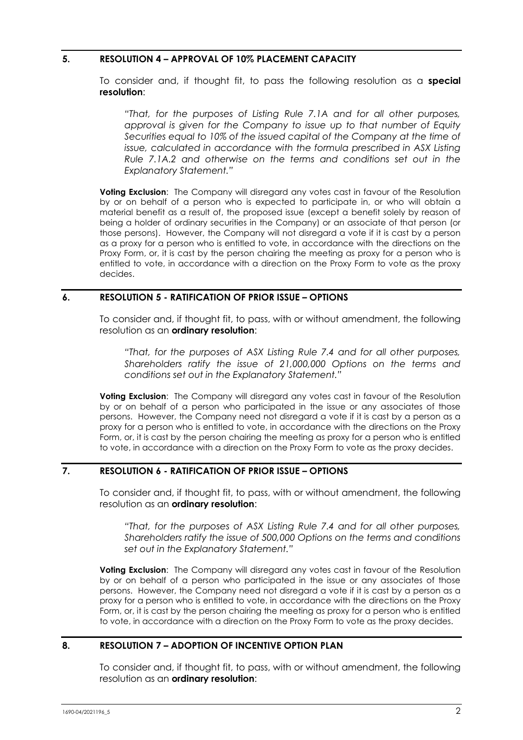## **5. RESOLUTION 4 – APPROVAL OF 10% PLACEMENT CAPACITY**

To consider and, if thought fit, to pass the following resolution as a **special resolution**:

*"That, for the purposes of Listing Rule 7.1A and for all other purposes, approval is given for the Company to issue up to that number of Equity Securities equal to 10% of the issued capital of the Company at the time of issue, calculated in accordance with the formula prescribed in ASX Listing Rule 7.1A.2 and otherwise on the terms and conditions set out in the Explanatory Statement."*

**Voting Exclusion:** The Company will disregard any votes cast in favour of the Resolution by or on behalf of a person who is expected to participate in, or who will obtain a material benefit as a result of, the proposed issue (except a benefit solely by reason of being a holder of ordinary securities in the Company) or an associate of that person (or those persons). However, the Company will not disregard a vote if it is cast by a person as a proxy for a person who is entitled to vote, in accordance with the directions on the Proxy Form, or, it is cast by the person chairing the meeting as proxy for a person who is entitled to vote, in accordance with a direction on the Proxy Form to vote as the proxy decides.

## **6. RESOLUTION 5 - RATIFICATION OF PRIOR ISSUE – OPTIONS**

To consider and, if thought fit, to pass, with or without amendment, the following resolution as an **ordinary resolution**:

*"That, for the purposes of ASX Listing Rule 7.4 and for all other purposes, Shareholders ratify the issue of 21,000,000 Options on the terms and conditions set out in the Explanatory Statement."*

**Voting Exclusion:** The Company will disregard any votes cast in favour of the Resolution by or on behalf of a person who participated in the issue or any associates of those persons. However, the Company need not disregard a vote if it is cast by a person as a proxy for a person who is entitled to vote, in accordance with the directions on the Proxy Form, or, it is cast by the person chairing the meeting as proxy for a person who is entitled to vote, in accordance with a direction on the Proxy Form to vote as the proxy decides.

## **7. RESOLUTION 6 - RATIFICATION OF PRIOR ISSUE – OPTIONS**

To consider and, if thought fit, to pass, with or without amendment, the following resolution as an **ordinary resolution**:

*"That, for the purposes of ASX Listing Rule 7.4 and for all other purposes, Shareholders ratify the issue of 500,000 Options on the terms and conditions set out in the Explanatory Statement."*

**Voting Exclusion:** The Company will disregard any votes cast in favour of the Resolution by or on behalf of a person who participated in the issue or any associates of those persons. However, the Company need not disregard a vote if it is cast by a person as a proxy for a person who is entitled to vote, in accordance with the directions on the Proxy Form, or, it is cast by the person chairing the meeting as proxy for a person who is entitled to vote, in accordance with a direction on the Proxy Form to vote as the proxy decides.

## **8. RESOLUTION 7 – ADOPTION OF INCENTIVE OPTION PLAN**

To consider and, if thought fit, to pass, with or without amendment, the following resolution as an **ordinary resolution**: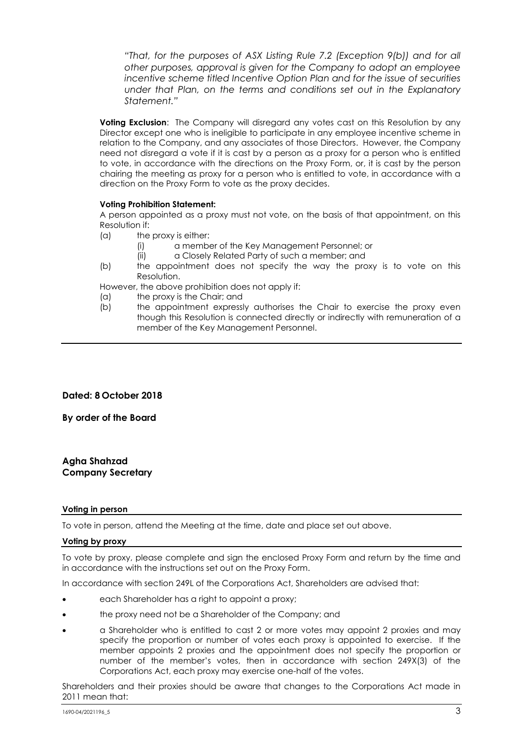*"That, for the purposes of ASX Listing Rule 7.2 (Exception 9(b)) and for all other purposes, approval is given for the Company to adopt an employee incentive scheme titled Incentive Option Plan and for the issue of securities under that Plan, on the terms and conditions set out in the Explanatory Statement."*

**Voting Exclusion:** The Company will disregard any votes cast on this Resolution by any Director except one who is ineligible to participate in any employee incentive scheme in relation to the Company, and any associates of those Directors. However, the Company need not disregard a vote if it is cast by a person as a proxy for a person who is entitled to vote, in accordance with the directions on the Proxy Form, or, it is cast by the person chairing the meeting as proxy for a person who is entitled to vote, in accordance with a direction on the Proxy Form to vote as the proxy decides.

#### **Voting Prohibition Statement:**

A person appointed as a proxy must not vote, on the basis of that appointment, on this Resolution if:

- (a) the proxy is either:
	- (i) a member of the Key Management Personnel; or
	- (ii) a Closely Related Party of such a member; and
- (b) the appointment does not specify the way the proxy is to vote on this Resolution.

However, the above prohibition does not apply if:

- (a) the proxy is the Chair; and
- (b) the appointment expressly authorises the Chair to exercise the proxy even though this Resolution is connected directly or indirectly with remuneration of a member of the Key Management Personnel.

## **Dated: 8 October 2018**

**By order of the Board**

#### **Agha Shahzad Company Secretary**

#### **Voting in person**

To vote in person, attend the Meeting at the time, date and place set out above.

#### **Voting by proxy**

To vote by proxy, please complete and sign the enclosed Proxy Form and return by the time and in accordance with the instructions set out on the Proxy Form.

In accordance with section 249L of the Corporations Act, Shareholders are advised that:

- each Shareholder has a right to appoint a proxy;
- the proxy need not be a Shareholder of the Company; and
- a Shareholder who is entitled to cast 2 or more votes may appoint 2 proxies and may specify the proportion or number of votes each proxy is appointed to exercise. If the member appoints 2 proxies and the appointment does not specify the proportion or number of the member's votes, then in accordance with section 249X(3) of the Corporations Act, each proxy may exercise one-half of the votes.

Shareholders and their proxies should be aware that changes to the Corporations Act made in 2011 mean that: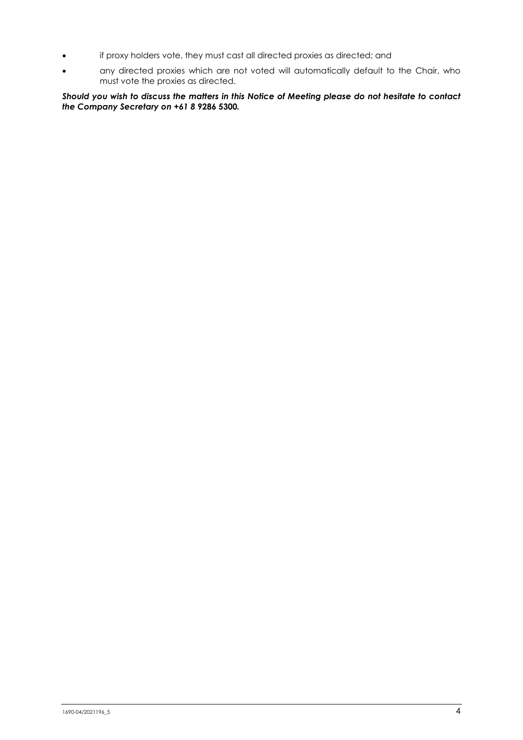- if proxy holders vote, they must cast all directed proxies as directed; and
- any directed proxies which are not voted will automatically default to the Chair, who must vote the proxies as directed.

*Should you wish to discuss the matters in this Notice of Meeting please do not hesitate to contact the Company Secretary on +61 8* **9286 5300***.*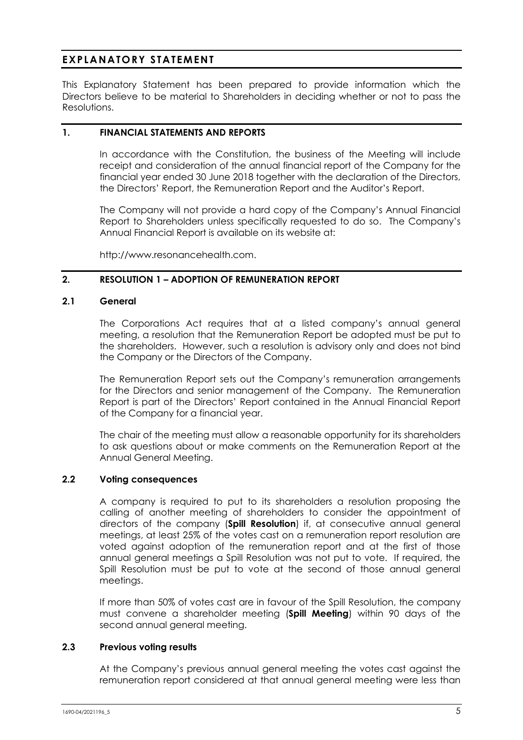## **EXPLANATORY STATEMENT**

This Explanatory Statement has been prepared to provide information which the Directors believe to be material to Shareholders in deciding whether or not to pass the Resolutions.

## **1. FINANCIAL STATEMENTS AND REPORTS**

In accordance with the Constitution, the business of the Meeting will include receipt and consideration of the annual financial report of the Company for the financial year ended 30 June 2018 together with the declaration of the Directors, the Directors' Report, the Remuneration Report and the Auditor's Report.

The Company will not provide a hard copy of the Company's Annual Financial Report to Shareholders unless specifically requested to do so. The Company's Annual Financial Report is available on its website at:

http://www.resonancehealth.com.

## **2. RESOLUTION 1 – ADOPTION OF REMUNERATION REPORT**

#### **2.1 General**

The Corporations Act requires that at a listed company's annual general meeting, a resolution that the Remuneration Report be adopted must be put to the shareholders. However, such a resolution is advisory only and does not bind the Company or the Directors of the Company.

The Remuneration Report sets out the Company's remuneration arrangements for the Directors and senior management of the Company. The Remuneration Report is part of the Directors' Report contained in the Annual Financial Report of the Company for a financial year.

The chair of the meeting must allow a reasonable opportunity for its shareholders to ask questions about or make comments on the Remuneration Report at the Annual General Meeting.

## **2.2 Voting consequences**

A company is required to put to its shareholders a resolution proposing the calling of another meeting of shareholders to consider the appointment of directors of the company (**Spill Resolution**) if, at consecutive annual general meetings, at least 25% of the votes cast on a remuneration report resolution are voted against adoption of the remuneration report and at the first of those annual general meetings a Spill Resolution was not put to vote. If required, the Spill Resolution must be put to vote at the second of those annual general meetings.

If more than 50% of votes cast are in favour of the Spill Resolution, the company must convene a shareholder meeting (**Spill Meeting**) within 90 days of the second annual general meeting.

#### **2.3 Previous voting results**

At the Company's previous annual general meeting the votes cast against the remuneration report considered at that annual general meeting were less than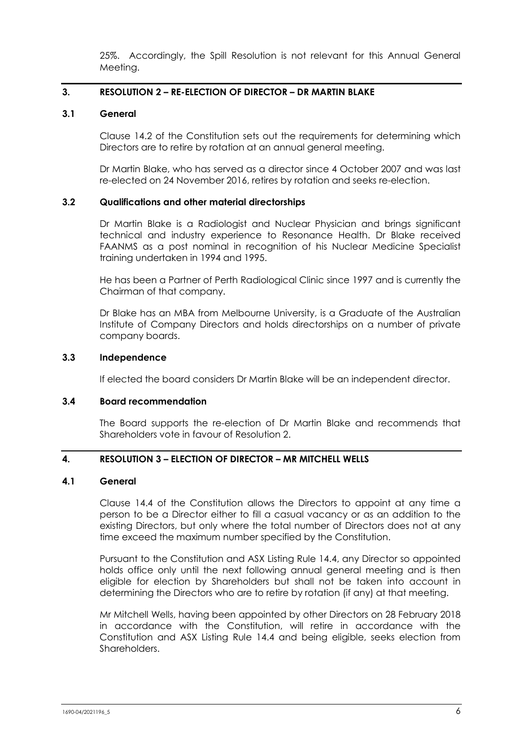25%. Accordingly, the Spill Resolution is not relevant for this Annual General Meeting.

## **3. RESOLUTION 2 – RE-ELECTION OF DIRECTOR – DR MARTIN BLAKE**

#### **3.1 General**

Clause 14.2 of the Constitution sets out the requirements for determining which Directors are to retire by rotation at an annual general meeting.

Dr Martin Blake, who has served as a director since 4 October 2007 and was last re-elected on 24 November 2016, retires by rotation and seeks re-election.

#### **3.2 Qualifications and other material directorships**

Dr Martin Blake is a Radiologist and Nuclear Physician and brings significant technical and industry experience to Resonance Health. Dr Blake received FAANMS as a post nominal in recognition of his Nuclear Medicine Specialist training undertaken in 1994 and 1995.

He has been a Partner of Perth Radiological Clinic since 1997 and is currently the Chairman of that company.

Dr Blake has an MBA from Melbourne University, is a Graduate of the Australian Institute of Company Directors and holds directorships on a number of private company boards.

#### **3.3 Independence**

If elected the board considers Dr Martin Blake will be an independent director.

## **3.4 Board recommendation**

The Board supports the re-election of Dr Martin Blake and recommends that Shareholders vote in favour of Resolution 2.

## **4. RESOLUTION 3 – ELECTION OF DIRECTOR – MR MITCHELL WELLS**

#### **4.1 General**

Clause 14.4 of the Constitution allows the Directors to appoint at any time a person to be a Director either to fill a casual vacancy or as an addition to the existing Directors, but only where the total number of Directors does not at any time exceed the maximum number specified by the Constitution.

Pursuant to the Constitution and ASX Listing Rule 14.4, any Director so appointed holds office only until the next following annual general meeting and is then eligible for election by Shareholders but shall not be taken into account in determining the Directors who are to retire by rotation (if any) at that meeting.

Mr Mitchell Wells, having been appointed by other Directors on 28 February 2018 in accordance with the Constitution, will retire in accordance with the Constitution and ASX Listing Rule 14.4 and being eligible, seeks election from Shareholders.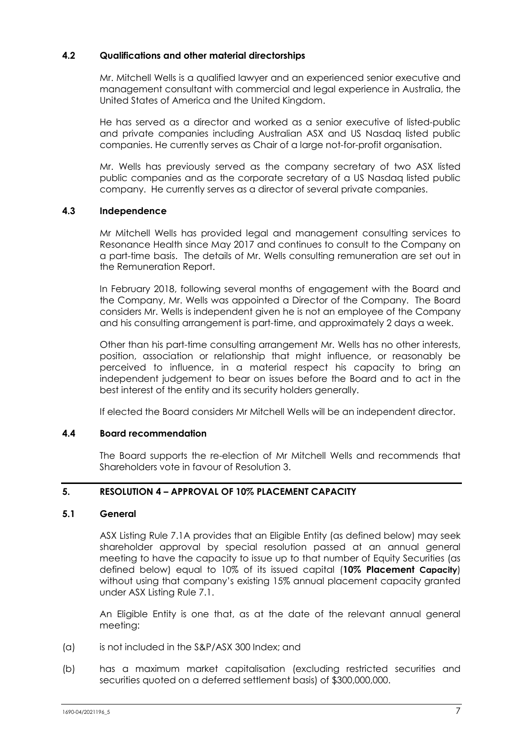## **4.2 Qualifications and other material directorships**

Mr. Mitchell Wells is a qualified lawyer and an experienced senior executive and management consultant with commercial and legal experience in Australia, the United States of America and the United Kingdom.

He has served as a director and worked as a senior executive of listed-public and private companies including Australian ASX and US Nasdaq listed public companies. He currently serves as Chair of a large not-for-profit organisation.

Mr. Wells has previously served as the company secretary of two ASX listed public companies and as the corporate secretary of a US Nasdaq listed public company. He currently serves as a director of several private companies.

## **4.3 Independence**

Mr Mitchell Wells has provided legal and management consulting services to Resonance Health since May 2017 and continues to consult to the Company on a part-time basis. The details of Mr. Wells consulting remuneration are set out in the Remuneration Report.

In February 2018, following several months of engagement with the Board and the Company, Mr. Wells was appointed a Director of the Company. The Board considers Mr. Wells is independent given he is not an employee of the Company and his consulting arrangement is part-time, and approximately 2 days a week.

Other than his part-time consulting arrangement Mr. Wells has no other interests, position, association or relationship that might influence, or reasonably be perceived to influence, in a material respect his capacity to bring an independent judgement to bear on issues before the Board and to act in the best interest of the entity and its security holders generally.

If elected the Board considers Mr Mitchell Wells will be an independent director.

## **4.4 Board recommendation**

The Board supports the re-election of Mr Mitchell Wells and recommends that Shareholders vote in favour of Resolution 3.

## **5. RESOLUTION 4 – APPROVAL OF 10% PLACEMENT CAPACITY**

## <span id="page-7-0"></span>**5.1 General**

ASX Listing Rule 7.1A provides that an Eligible Entity (as defined below) may seek shareholder approval by special resolution passed at an annual general meeting to have the capacity to issue up to that number of Equity Securities (as defined below) equal to 10% of its issued capital (**10% Placement Capacity**) without using that company's existing 15% annual placement capacity granted under ASX Listing Rule 7.1.

An Eligible Entity is one that, as at the date of the relevant annual general meeting:

- (a) is not included in the S&P/ASX 300 Index; and
- (b) has a maximum market capitalisation (excluding restricted securities and securities quoted on a deferred settlement basis) of \$300,000,000.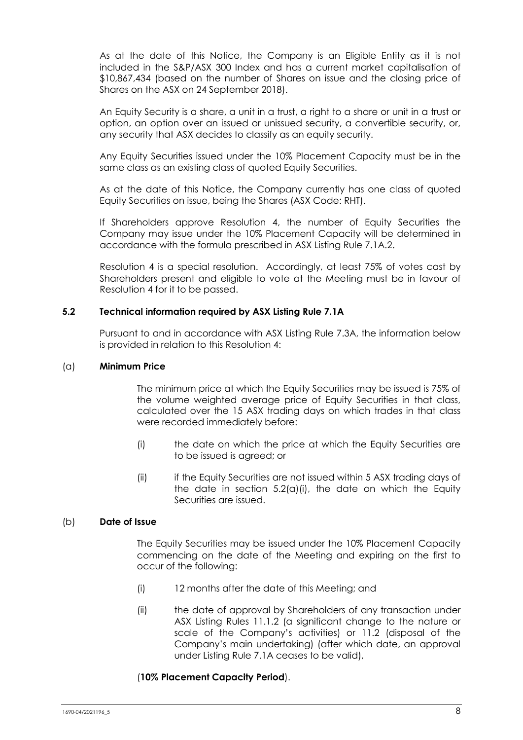As at the date of this Notice, the Company is an Eligible Entity as it is not included in the S&P/ASX 300 Index and has a current market capitalisation of \$10,867,434 (based on the number of Shares on issue and the closing price of Shares on the ASX on 24 September 2018).

An Equity Security is a share, a unit in a trust, a right to a share or unit in a trust or option, an option over an issued or unissued security, a convertible security, or, any security that ASX decides to classify as an equity security.

Any Equity Securities issued under the 10% Placement Capacity must be in the same class as an existing class of quoted Equity Securities.

As at the date of this Notice, the Company currently has one class of quoted Equity Securities on issue, being the Shares (ASX Code: RHT).

If Shareholders approve Resolution 4, the number of Equity Securities the Company may issue under the 10% Placement Capacity will be determined in accordance with the formula prescribed in ASX Listing Rule 7.1A.2.

Resolution 4 is a special resolution. Accordingly, at least 75% of votes cast by Shareholders present and eligible to vote at the Meeting must be in favour of Resolution 4 for it to be passed.

#### **5.2 Technical information required by ASX Listing Rule 7.1A**

Pursuant to and in accordance with ASX Listing Rule 7.3A, the information below is provided in relation to this Resolution 4:

#### (a) **Minimum Price**

The minimum price at which the Equity Securities may be issued is 75% of the volume weighted average price of Equity Securities in that class, calculated over the 15 ASX trading days on which trades in that class were recorded immediately before:

- <span id="page-8-0"></span>(i) the date on which the price at which the Equity Securities are to be issued is agreed; or
- (ii) if the Equity Securities are not issued within 5 ASX trading days of the date in section  $5.2(a)(i)$ , the date on which the Equity Securities are issued.

#### (b) **Date of Issue**

The Equity Securities may be issued under the 10% Placement Capacity commencing on the date of the Meeting and expiring on the first to occur of the following:

- (i) 12 months after the date of this Meeting; and
- (ii) the date of approval by Shareholders of any transaction under ASX Listing Rules 11.1.2 (a significant change to the nature or scale of the Company's activities) or 11.2 (disposal of the Company's main undertaking) (after which date, an approval under Listing Rule 7.1A ceases to be valid),

#### (**10% Placement Capacity Period**).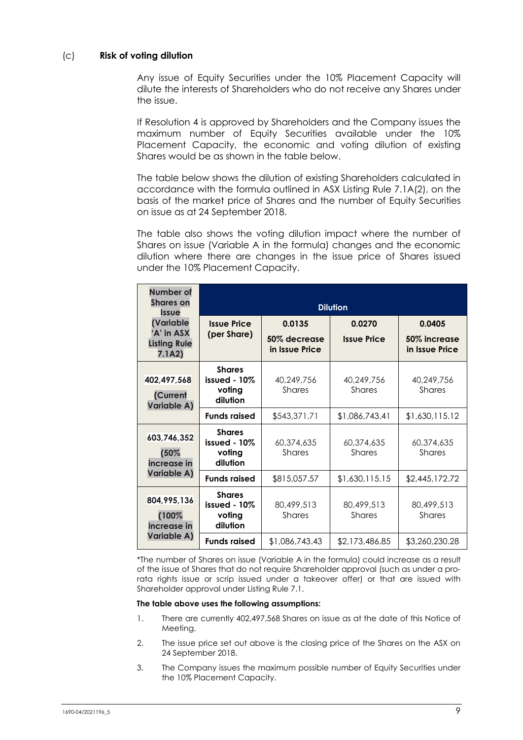## (c) **Risk of voting dilution**

Any issue of Equity Securities under the 10% Placement Capacity will dilute the interests of Shareholders who do not receive any Shares under the issue.

If Resolution 4 is approved by Shareholders and the Company issues the maximum number of Equity Securities available under the 10% Placement Capacity, the economic and voting dilution of existing Shares would be as shown in the table below.

The table below shows the dilution of existing Shareholders calculated in accordance with the formula outlined in ASX Listing Rule 7.1A(2), on the basis of the market price of Shares and the number of Equity Securities on issue as at 24 September 2018.

The table also shows the voting dilution impact where the number of Shares on issue (Variable A in the formula) changes and the economic dilution where there are changes in the issue price of Shares issued under the 10% Placement Capacity.

| Number of<br><b>Shares on</b><br><b>Issue</b>             | <b>Dilution</b>                                       |                                          |                              |                                          |  |
|-----------------------------------------------------------|-------------------------------------------------------|------------------------------------------|------------------------------|------------------------------------------|--|
| (Variable<br>'A' in ASX<br><b>Listing Rule</b><br>7.1A2)  | <b>Issue Price</b><br>(per Share)                     | 0.0135<br>50% decrease<br>in Issue Price | 0.0270<br><b>Issue Price</b> | 0.0405<br>50% increase<br>in Issue Price |  |
| 402,497,568<br>(Current<br>Variable A)                    | <b>Shares</b><br>issued $-10\%$<br>voting<br>dilution | 40,249,756<br>Shares                     | 40,249,756<br><b>Shares</b>  | 40,249,756<br>Shares                     |  |
|                                                           | <b>Funds raised</b>                                   | \$543,371.71                             | \$1,086,743.41               | \$1,630,115.12                           |  |
| 603,746,352<br>(50%<br>increase in                        | <b>Shares</b><br>issued - 10%<br>voting<br>dilution   | 60,374,635<br><b>Shares</b>              | 60,374,635<br><b>Shares</b>  | 60,374,635<br><b>Shares</b>              |  |
| Variable A)                                               | <b>Funds raised</b>                                   | \$815,057.57                             | \$1,630,115.15               | \$2,445,172.72                           |  |
| 804,995,136<br>(100%<br>increase in<br><b>Variable A)</b> | <b>Shares</b><br>issued - 10%<br>voting<br>dilution   | 80,499,513<br><b>Shares</b>              | 80,499,513<br><b>Shares</b>  | 80,499,513<br><b>Shares</b>              |  |
|                                                           | <b>Funds raised</b>                                   | \$1,086,743.43                           | \$2,173,486.85               | \$3,260,230.28                           |  |

\*The number of Shares on issue (Variable A in the formula) could increase as a result of the issue of Shares that do not require Shareholder approval (such as under a prorata rights issue or scrip issued under a takeover offer) or that are issued with Shareholder approval under Listing Rule 7.1.

#### **The table above uses the following assumptions:**

- 1. There are currently 402,497,568 Shares on issue as at the date of this Notice of Meeting.
- 2. The issue price set out above is the closing price of the Shares on the ASX on 24 September 2018.
- 3. The Company issues the maximum possible number of Equity Securities under the 10% Placement Capacity.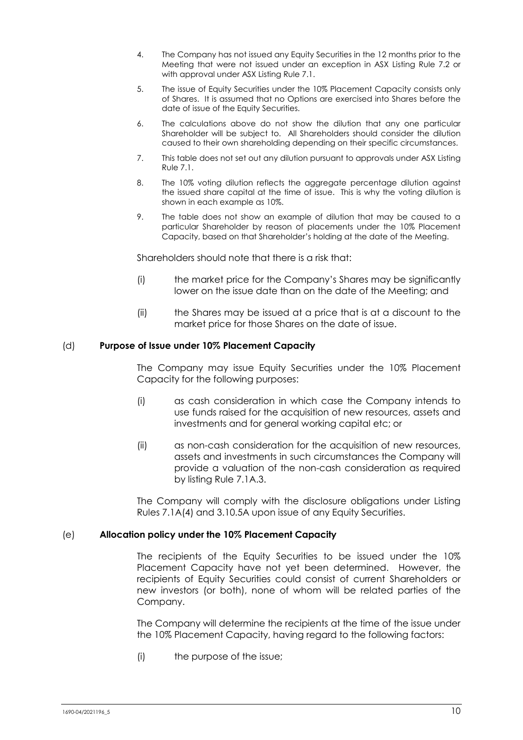- 4. The Company has not issued any Equity Securities in the 12 months prior to the Meeting that were not issued under an exception in ASX Listing Rule 7.2 or with approval under ASX Listing Rule 7.1.
- 5. The issue of Equity Securities under the 10% Placement Capacity consists only of Shares. It is assumed that no Options are exercised into Shares before the date of issue of the Equity Securities.
- 6. The calculations above do not show the dilution that any one particular Shareholder will be subject to. All Shareholders should consider the dilution caused to their own shareholding depending on their specific circumstances.
- 7. This table does not set out any dilution pursuant to approvals under ASX Listing Rule 7.1.
- 8. The 10% voting dilution reflects the aggregate percentage dilution against the issued share capital at the time of issue. This is why the voting dilution is shown in each example as 10%.
- 9. The table does not show an example of dilution that may be caused to a particular Shareholder by reason of placements under the 10% Placement Capacity, based on that Shareholder's holding at the date of the Meeting.

Shareholders should note that there is a risk that:

- (i) the market price for the Company's Shares may be significantly lower on the issue date than on the date of the Meeting; and
- (ii) the Shares may be issued at a price that is at a discount to the market price for those Shares on the date of issue.

#### (d) **Purpose of Issue under 10% Placement Capacity**

The Company may issue Equity Securities under the 10% Placement Capacity for the following purposes:

- (i) as cash consideration in which case the Company intends to use funds raised for the acquisition of new resources, assets and investments and for general working capital etc; or
- (ii) as non-cash consideration for the acquisition of new resources, assets and investments in such circumstances the Company will provide a valuation of the non-cash consideration as required by listing Rule 7.1A.3.

The Company will comply with the disclosure obligations under Listing Rules 7.1A(4) and 3.10.5A upon issue of any Equity Securities.

## (e) **Allocation policy under the 10% Placement Capacity**

The recipients of the Equity Securities to be issued under the 10% Placement Capacity have not yet been determined. However, the recipients of Equity Securities could consist of current Shareholders or new investors (or both), none of whom will be related parties of the Company.

The Company will determine the recipients at the time of the issue under the 10% Placement Capacity, having regard to the following factors:

(i) the purpose of the issue;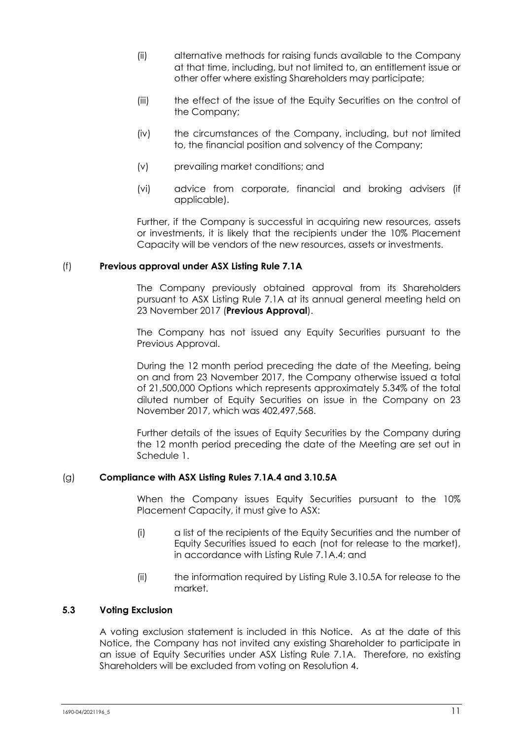- (ii) alternative methods for raising funds available to the Company at that time, including, but not limited to, an entitlement issue or other offer where existing Shareholders may participate;
- (iii) the effect of the issue of the Equity Securities on the control of the Company;
- (iv) the circumstances of the Company, including, but not limited to, the financial position and solvency of the Company;
- (v) prevailing market conditions; and
- (vi) advice from corporate, financial and broking advisers (if applicable).

Further, if the Company is successful in acquiring new resources, assets or investments, it is likely that the recipients under the 10% Placement Capacity will be vendors of the new resources, assets or investments.

#### (f) **Previous approval under ASX Listing Rule 7.1A**

The Company previously obtained approval from its Shareholders pursuant to ASX Listing Rule 7.1A at its annual general meeting held on 23 November 2017 (**Previous Approval**).

The Company has not issued any Equity Securities pursuant to the Previous Approval.

During the 12 month period preceding the date of the Meeting, being on and from 23 November 2017, the Company otherwise issued a total of 21,500,000 Options which represents approximately 5.34% of the total diluted number of Equity Securities on issue in the Company on 23 November 2017, which was 402,497,568.

Further details of the issues of Equity Securities by the Company during the 12 month period preceding the date of the Meeting are set out in Schedule 1.

#### (g) **Compliance with ASX Listing Rules 7.1A.4 and 3.10.5A**

When the Company issues Equity Securities pursuant to the 10% Placement Capacity, it must give to ASX:

- (i) a list of the recipients of the Equity Securities and the number of Equity Securities issued to each (not for release to the market), in accordance with Listing Rule 7.1A.4; and
- (ii) the information required by Listing Rule 3.10.5A for release to the market.

#### **5.3 Voting Exclusion**

A voting exclusion statement is included in this Notice. As at the date of this Notice, the Company has not invited any existing Shareholder to participate in an issue of Equity Securities under ASX Listing Rule 7.1A. Therefore, no existing Shareholders will be excluded from voting on Resolution 4.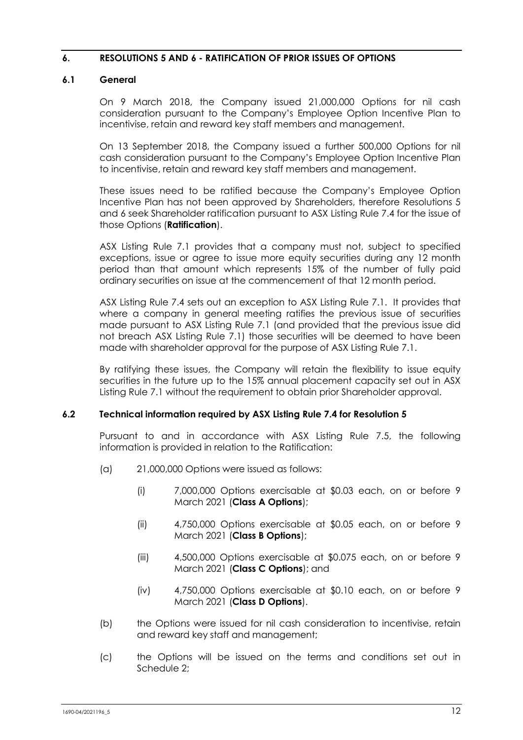## **6. RESOLUTIONS 5 AND 6 - RATIFICATION OF PRIOR ISSUES OF OPTIONS**

## **6.1 General**

On 9 March 2018, the Company issued 21,000,000 Options for nil cash consideration pursuant to the Company's Employee Option Incentive Plan to incentivise, retain and reward key staff members and management.

On 13 September 2018, the Company issued a further 500,000 Options for nil cash consideration pursuant to the Company's Employee Option Incentive Plan to incentivise, retain and reward key staff members and management.

These issues need to be ratified because the Company's Employee Option Incentive Plan has not been approved by Shareholders, therefore Resolutions 5 and 6 seek Shareholder ratification pursuant to ASX Listing Rule 7.4 for the issue of those Options (**Ratification**).

ASX Listing Rule 7.1 provides that a company must not, subject to specified exceptions, issue or agree to issue more equity securities during any 12 month period than that amount which represents 15% of the number of fully paid ordinary securities on issue at the commencement of that 12 month period.

ASX Listing Rule 7.4 sets out an exception to ASX Listing Rule 7.1. It provides that where a company in general meeting ratifies the previous issue of securities made pursuant to ASX Listing Rule 7.1 (and provided that the previous issue did not breach ASX Listing Rule 7.1) those securities will be deemed to have been made with shareholder approval for the purpose of ASX Listing Rule 7.1.

By ratifying these issues, the Company will retain the flexibility to issue equity securities in the future up to the 15% annual placement capacity set out in ASX Listing Rule 7.1 without the requirement to obtain prior Shareholder approval.

## **6.2 Technical information required by ASX Listing Rule 7.4 for Resolution 5**

Pursuant to and in accordance with ASX Listing Rule 7.5, the following information is provided in relation to the Ratification:

- (a) 21,000,000 Options were issued as follows:
	- (i) 7,000,000 Options exercisable at \$0.03 each, on or before 9 March 2021 (**Class A Options**);
	- (ii) 4,750,000 Options exercisable at \$0.05 each, on or before 9 March 2021 (**Class B Options**);
	- (iii) 4,500,000 Options exercisable at \$0.075 each, on or before 9 March 2021 (**Class C Options**); and
	- (iv) 4,750,000 Options exercisable at \$0.10 each, on or before 9 March 2021 (**Class D Options**).
- (b) the Options were issued for nil cash consideration to incentivise, retain and reward key staff and management;
- (c) the Options will be issued on the terms and conditions set out in Schedule 2;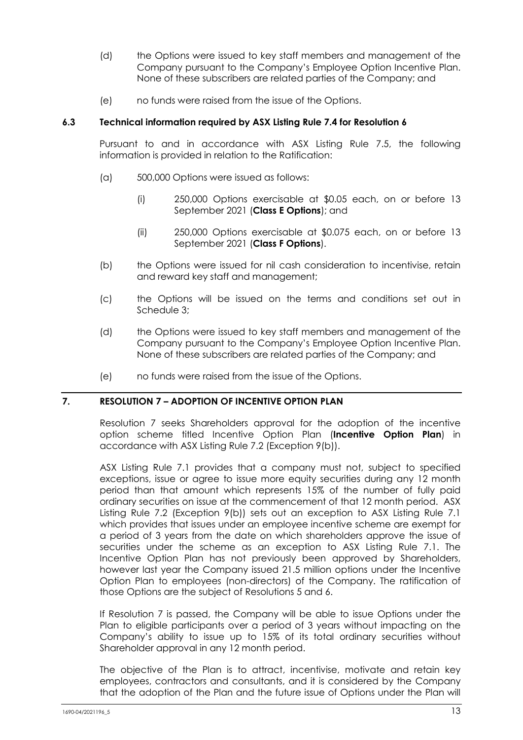- (d) the Options were issued to key staff members and management of the Company pursuant to the Company's Employee Option Incentive Plan. None of these subscribers are related parties of the Company; and
- (e) no funds were raised from the issue of the Options.

## **6.3 Technical information required by ASX Listing Rule 7.4 for Resolution 6**

Pursuant to and in accordance with ASX Listing Rule 7.5, the following information is provided in relation to the Ratification:

- (a) 500,000 Options were issued as follows:
	- (i) 250,000 Options exercisable at \$0.05 each, on or before 13 September 2021 (**Class E Options**); and
	- (ii) 250,000 Options exercisable at \$0.075 each, on or before 13 September 2021 (**Class F Options**).
- (b) the Options were issued for nil cash consideration to incentivise, retain and reward key staff and management;
- (c) the Options will be issued on the terms and conditions set out in Schedule 3;
- (d) the Options were issued to key staff members and management of the Company pursuant to the Company's Employee Option Incentive Plan. None of these subscribers are related parties of the Company; and
- (e) no funds were raised from the issue of the Options.

## **7. RESOLUTION 7 – ADOPTION OF INCENTIVE OPTION PLAN**

Resolution 7 seeks Shareholders approval for the adoption of the incentive option scheme titled Incentive Option Plan (**Incentive Option Plan**) in accordance with ASX Listing Rule 7.2 (Exception 9(b)).

ASX Listing Rule 7.1 provides that a company must not, subject to specified exceptions, issue or agree to issue more equity securities during any 12 month period than that amount which represents 15% of the number of fully paid ordinary securities on issue at the commencement of that 12 month period. ASX Listing Rule 7.2 (Exception 9(b)) sets out an exception to ASX Listing Rule 7.1 which provides that issues under an employee incentive scheme are exempt for a period of 3 years from the date on which shareholders approve the issue of securities under the scheme as an exception to ASX Listing Rule 7.1. The Incentive Option Plan has not previously been approved by Shareholders, however last year the Company issued 21.5 million options under the Incentive Option Plan to employees (non-directors) of the Company. The ratification of those Options are the subject of Resolutions 5 and 6.

If Resolution 7 is passed, the Company will be able to issue Options under the Plan to eligible participants over a period of 3 years without impacting on the Company's ability to issue up to 15% of its total ordinary securities without Shareholder approval in any 12 month period.

The objective of the Plan is to attract, incentivise, motivate and retain key employees, contractors and consultants, and it is considered by the Company that the adoption of the Plan and the future issue of Options under the Plan will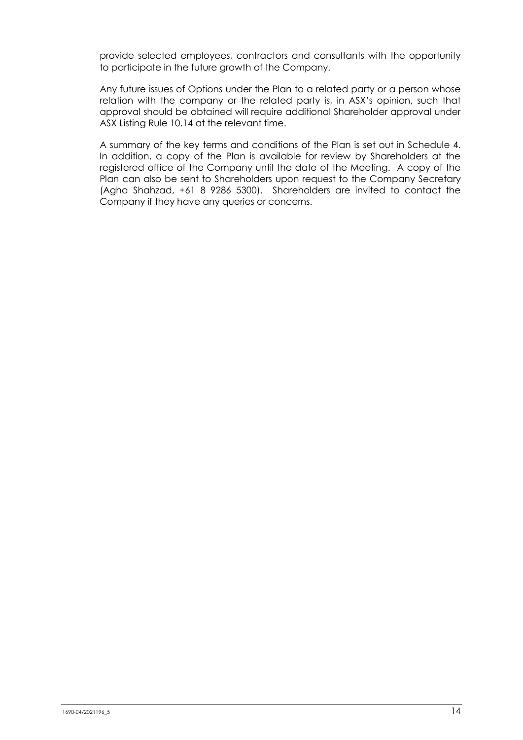provide selected employees, contractors and consultants with the opportunity to participate in the future growth of the Company.

Any future issues of Options under the Plan to a related party or a person whose relation with the company or the related party is, in ASX's opinion, such that approval should be obtained will require additional Shareholder approval under ASX Listing Rule 10.14 at the relevant time.

A summary of the key terms and conditions of the Plan is set out in Schedule 4. In addition, a copy of the Plan is available for review by Shareholders at the registered office of the Company until the date of the Meeting. A copy of the Plan can also be sent to Shareholders upon request to the Company Secretary (Agha Shahzad, +61 8 9286 5300). Shareholders are invited to contact the Company if they have any queries or concerns.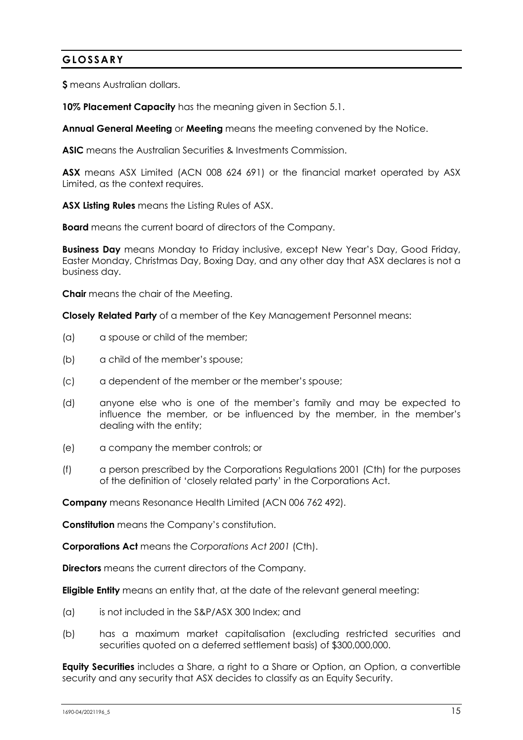## **GLOSSARY**

**\$** means Australian dollars.

**10% Placement Capacity** has the meaning given in Section [5.1.](#page-7-0)

**Annual General Meeting** or **Meeting** means the meeting convened by the Notice.

**ASIC** means the Australian Securities & Investments Commission.

**ASX** means ASX Limited (ACN 008 624 691) or the financial market operated by ASX Limited, as the context requires.

**ASX Listing Rules** means the Listing Rules of ASX.

**Board** means the current board of directors of the Company.

**Business Day** means Monday to Friday inclusive, except New Year's Day, Good Friday, Easter Monday, Christmas Day, Boxing Day, and any other day that ASX declares is not a business day.

**Chair** means the chair of the Meeting.

**Closely Related Party** of a member of the Key Management Personnel means:

- (a) a spouse or child of the member;
- (b) a child of the member's spouse;
- (c) a dependent of the member or the member's spouse;
- (d) anyone else who is one of the member's family and may be expected to influence the member, or be influenced by the member, in the member's dealing with the entity;
- (e) a company the member controls; or
- (f) a person prescribed by the Corporations Regulations 2001 (Cth) for the purposes of the definition of 'closely related party' in the Corporations Act.

**Company** means Resonance Health Limited (ACN 006 762 492).

**Constitution** means the Company's constitution.

**Corporations Act** means the *Corporations Act 2001* (Cth).

**Directors** means the current directors of the Company.

**Eligible Entity** means an entity that, at the date of the relevant general meeting:

- (a) is not included in the S&P/ASX 300 Index; and
- (b) has a maximum market capitalisation (excluding restricted securities and securities quoted on a deferred settlement basis) of \$300,000,000.

**Equity Securities** includes a Share, a right to a Share or Option, an Option, a convertible security and any security that ASX decides to classify as an Equity Security.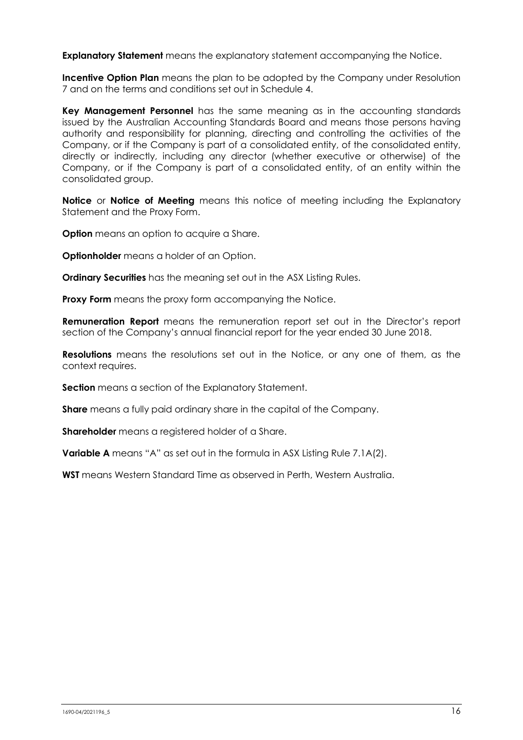**Explanatory Statement** means the explanatory statement accompanying the Notice.

**Incentive Option Plan** means the plan to be adopted by the Company under Resolution 7 and on the terms and conditions set out in Schedule 4.

**Key Management Personnel** has the same meaning as in the accounting standards issued by the Australian Accounting Standards Board and means those persons having authority and responsibility for planning, directing and controlling the activities of the Company, or if the Company is part of a consolidated entity, of the consolidated entity, directly or indirectly, including any director (whether executive or otherwise) of the Company, or if the Company is part of a consolidated entity, of an entity within the consolidated group.

**Notice** or **Notice of Meeting** means this notice of meeting including the Explanatory Statement and the Proxy Form.

**Option** means an option to acquire a Share.

**Optionholder** means a holder of an Option.

**Ordinary Securities** has the meaning set out in the ASX Listing Rules.

**Proxy Form** means the proxy form accompanying the Notice.

**Remuneration Report** means the remuneration report set out in the Director's report section of the Company's annual financial report for the year ended 30 June 2018.

**Resolutions** means the resolutions set out in the Notice, or any one of them, as the context requires.

**Section** means a section of the Explanatory Statement.

**Share** means a fully paid ordinary share in the capital of the Company.

**Shareholder** means a registered holder of a Share.

**Variable A** means "A" as set out in the formula in ASX Listing Rule 7.1A(2).

**WST** means Western Standard Time as observed in Perth, Western Australia.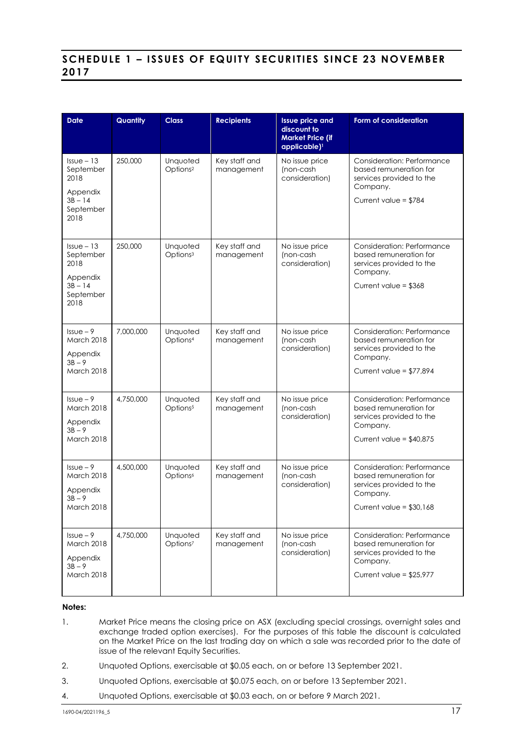## **SCHEDULE 1 – ISSUE S OF EQUITY SECURITIES SINCE 23 NOVEMBER 2017**

| <b>Date</b>                                     | Quantity  | <b>Class</b>                     | <b>Recipients</b>           | <b>Issue price and</b><br>discount to<br><b>Market Price (if</b><br>applicable) <sup>1</sup> | Form of consideration                                                                               |
|-------------------------------------------------|-----------|----------------------------------|-----------------------------|----------------------------------------------------------------------------------------------|-----------------------------------------------------------------------------------------------------|
| $Issue - 13$<br>September<br>2018<br>Appendix   | 250,000   | Unquoted<br>Options <sup>2</sup> | Key staff and<br>management | No issue price<br>(non-cash<br>consideration)                                                | <b>Consideration: Performance</b><br>based remuneration for<br>services provided to the<br>Company. |
| $3B - 14$<br>September<br>2018                  |           |                                  |                             |                                                                                              | Current value = \$784                                                                               |
| $Issue - 13$<br>September<br>2018<br>Appendix   | 250,000   | Unquoted<br>Options <sup>3</sup> | Key staff and<br>management | No issue price<br>(non-cash<br>consideration)                                                | <b>Consideration: Performance</b><br>based remuneration for<br>services provided to the<br>Company. |
| $3B - 14$<br>September<br>2018                  |           |                                  |                             |                                                                                              | Current value = $$368$                                                                              |
| $l$ ssue – 9<br>March 2018                      | 7.000.000 | Unquoted<br>Options <sup>4</sup> | Key staff and<br>management | No issue price<br>(non-cash<br>consideration)                                                | <b>Consideration: Performance</b><br>based remuneration for<br>services provided to the             |
| Appendix<br>$3B - 9$<br><b>March 2018</b>       |           |                                  |                             |                                                                                              | Company.<br>Current value = $$77,894$                                                               |
| $Is5 = 9$<br>March 2018<br>Appendix<br>$3B - 9$ | 4,750,000 | Unquoted<br>Options <sup>5</sup> | Key staff and<br>management | No issue price<br>(non-cash<br>consideration)                                                | Consideration: Performance<br>based remuneration for<br>services provided to the<br>Company.        |
| March 2018                                      |           |                                  |                             |                                                                                              | Current value = $$40,875$                                                                           |
| $l$ ssue – 9<br>March 2018<br>Appendix          | 4,500,000 | Unquoted<br>Options <sup>6</sup> | Key staff and<br>management | No issue price<br>(non-cash<br>consideration)                                                | <b>Consideration: Performance</b><br>based remuneration for<br>services provided to the             |
| $3B - 9$<br>March 2018                          |           |                                  |                             |                                                                                              | Company.<br>Current value = $$30,168$                                                               |
| $Is5 = -9$<br>March 2018<br>Appendix            | 4,750,000 | Unquoted<br>Options <sup>7</sup> | Key staff and<br>management | No issue price<br>(non-cash<br>consideration)                                                | Consideration: Performance<br>based remuneration for<br>services provided to the<br>Company.        |
| $3B - 9$<br>March 2018                          |           |                                  |                             |                                                                                              | Current value = $$25,977$                                                                           |

#### **Notes:**

1. Market Price means the closing price on ASX (excluding special crossings, overnight sales and exchange traded option exercises). For the purposes of this table the discount is calculated on the Market Price on the last trading day on which a sale was recorded prior to the date of issue of the relevant Equity Securities.

- 2. Unquoted Options, exercisable at \$0.05 each, on or before 13 September 2021.
- 3. Unquoted Options, exercisable at \$0.075 each, on or before 13 September 2021.
- 4. Unquoted Options, exercisable at \$0.03 each, on or before 9 March 2021.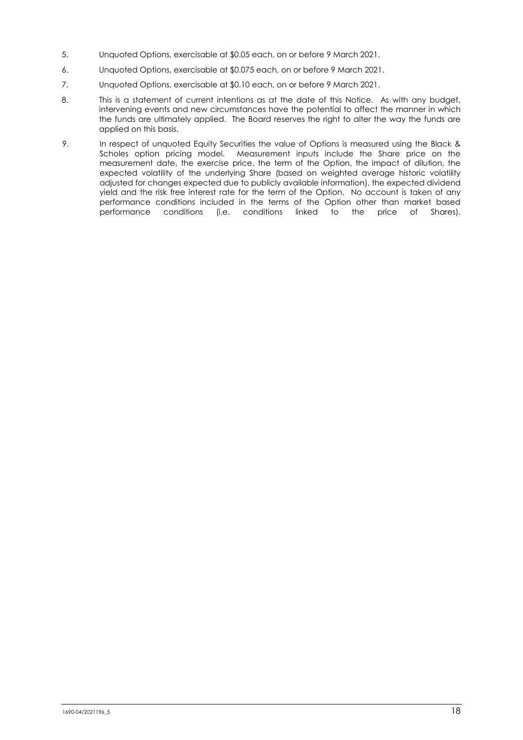- 5. Unquoted Options, exercisable at \$0.05 each, on or before 9 March 2021.
- 6. Unquoted Options, exercisable at \$0.075 each, on or before 9 March 2021.
- 7. Unquoted Options, exercisable at \$0.10 each, on or before 9 March 2021.
- 8. This is a statement of current intentions as at the date of this Notice. As with any budget, intervening events and new circumstances have the potential to affect the manner in which the funds are ultimately applied. The Board reserves the right to alter the way the funds are applied on this basis.
- 9. In respect of unquoted Equity Securities the value of Options is measured using the Black & Scholes option pricing model. Measurement inputs include the Share price on the measurement date, the exercise price, the term of the Option, the impact of dilution, the expected volatility of the underlying Share (based on weighted average historic volatility adjusted for changes expected due to publicly available information), the expected dividend yield and the risk free interest rate for the term of the Option. No account is taken of any performance conditions included in the terms of the Option other than market based performance conditions (i.e. conditions linked to the price of Shares).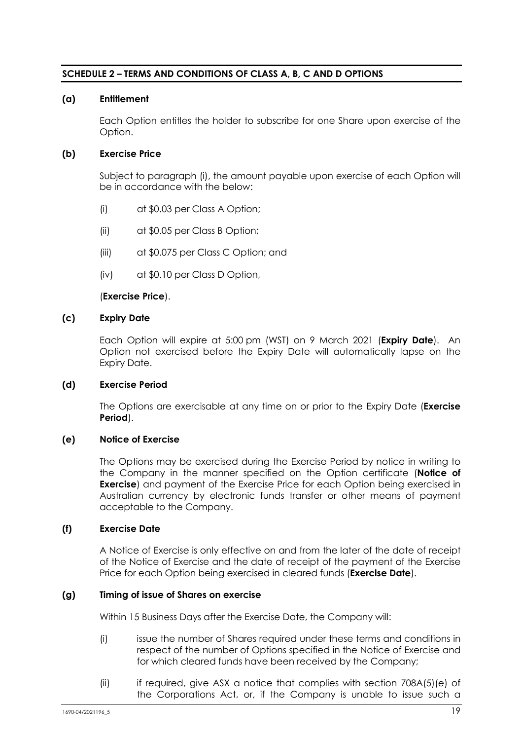## **SCHEDULE 2 – TERMS AND CONDITIONS OF CLASS A, B, C AND D OPTIONS**

## **(a) Entitlement**

Each Option entitles the holder to subscribe for one Share upon exercise of the Option.

## **(b) Exercise Price**

Subject to paragraph [\(i\),](#page-20-0) the amount payable upon exercise of each Option will be in accordance with the below:

- (i) at \$0.03 per Class A Option;
- (ii) at \$0.05 per Class B Option;
- (iii) at \$0.075 per Class C Option; and
- (iv) at \$0.10 per Class D Option,

#### (**Exercise Price**).

#### **(c) Expiry Date**

Each Option will expire at 5:00 pm (WST) on 9 March 2021 (**Expiry Date**). An Option not exercised before the Expiry Date will automatically lapse on the Expiry Date.

#### **(d) Exercise Period**

The Options are exercisable at any time on or prior to the Expiry Date (**Exercise Period**).

#### **(e) Notice of Exercise**

The Options may be exercised during the Exercise Period by notice in writing to the Company in the manner specified on the Option certificate (**Notice of Exercise**) and payment of the Exercise Price for each Option being exercised in Australian currency by electronic funds transfer or other means of payment acceptable to the Company.

#### **(f) Exercise Date**

A Notice of Exercise is only effective on and from the later of the date of receipt of the Notice of Exercise and the date of receipt of the payment of the Exercise Price for each Option being exercised in cleared funds (**Exercise Date**).

#### <span id="page-19-0"></span>**(g) Timing of issue of Shares on exercise**

Within 15 Business Days after the Exercise Date, the Company will:

- (i) issue the number of Shares required under these terms and conditions in respect of the number of Options specified in the Notice of Exercise and for which cleared funds have been received by the Company;
- <span id="page-19-1"></span>(ii) if required, give ASX a notice that complies with section 708A(5)(e) of the Corporations Act, or, if the Company is unable to issue such a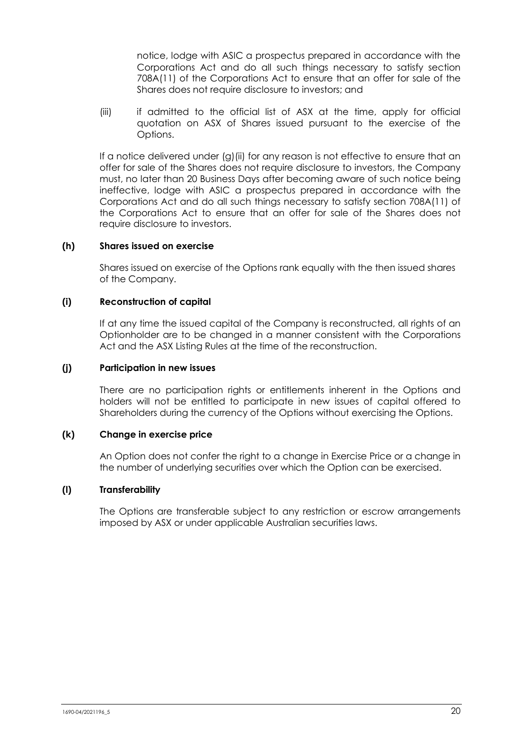notice, lodge with ASIC a prospectus prepared in accordance with the Corporations Act and do all such things necessary to satisfy section 708A(11) of the Corporations Act to ensure that an offer for sale of the Shares does not require disclosure to investors; and

(iii) if admitted to the official list of ASX at the time, apply for official quotation on ASX of Shares issued pursuant to the exercise of the Options.

If a notice delivered under [\(g\)](#page-19-0)[\(ii\)](#page-19-1) for any reason is not effective to ensure that an offer for sale of the Shares does not require disclosure to investors, the Company must, no later than 20 Business Days after becoming aware of such notice being ineffective, lodge with ASIC a prospectus prepared in accordance with the Corporations Act and do all such things necessary to satisfy section 708A(11) of the Corporations Act to ensure that an offer for sale of the Shares does not require disclosure to investors.

## **(h) Shares issued on exercise**

Shares issued on exercise of the Options rank equally with the then issued shares of the Company.

## <span id="page-20-0"></span>**(i) Reconstruction of capital**

If at any time the issued capital of the Company is reconstructed, all rights of an Optionholder are to be changed in a manner consistent with the Corporations Act and the ASX Listing Rules at the time of the reconstruction.

## **(j) Participation in new issues**

There are no participation rights or entitlements inherent in the Options and holders will not be entitled to participate in new issues of capital offered to Shareholders during the currency of the Options without exercising the Options.

## **(k) Change in exercise price**

An Option does not confer the right to a change in Exercise Price or a change in the number of underlying securities over which the Option can be exercised.

## **(l) Transferability**

The Options are transferable subject to any restriction or escrow arrangements imposed by ASX or under applicable Australian securities laws.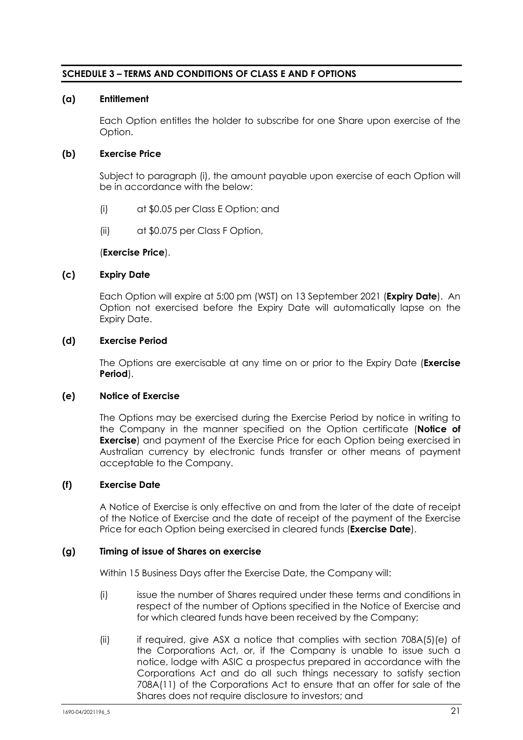## **SCHEDULE 3 – TERMS AND CONDITIONS OF CLASS E AND F OPTIONS**

## **(a) Entitlement**

Each Option entitles the holder to subscribe for one Share upon exercise of the Option.

## **(b) Exercise Price**

Subject to paragraph [\(i\),](#page-20-0) the amount payable upon exercise of each Option will be in accordance with the below:

- (i) at \$0.05 per Class E Option; and
- (ii) at \$0.075 per Class F Option,

#### (**Exercise Price**).

#### **(c) Expiry Date**

Each Option will expire at 5:00 pm (WST) on 13 September 2021 (**Expiry Date**). An Option not exercised before the Expiry Date will automatically lapse on the Expiry Date.

#### **(d) Exercise Period**

The Options are exercisable at any time on or prior to the Expiry Date (**Exercise Period**).

#### **(e) Notice of Exercise**

The Options may be exercised during the Exercise Period by notice in writing to the Company in the manner specified on the Option certificate (**Notice of Exercise**) and payment of the Exercise Price for each Option being exercised in Australian currency by electronic funds transfer or other means of payment acceptable to the Company.

#### **(f) Exercise Date**

A Notice of Exercise is only effective on and from the later of the date of receipt of the Notice of Exercise and the date of receipt of the payment of the Exercise Price for each Option being exercised in cleared funds (**Exercise Date**).

## **(g) Timing of issue of Shares on exercise**

Within 15 Business Days after the Exercise Date, the Company will:

- (i) issue the number of Shares required under these terms and conditions in respect of the number of Options specified in the Notice of Exercise and for which cleared funds have been received by the Company;
- (ii) if required, give ASX a notice that complies with section 708A(5)(e) of the Corporations Act, or, if the Company is unable to issue such a notice, lodge with ASIC a prospectus prepared in accordance with the Corporations Act and do all such things necessary to satisfy section 708A(11) of the Corporations Act to ensure that an offer for sale of the Shares does not require disclosure to investors; and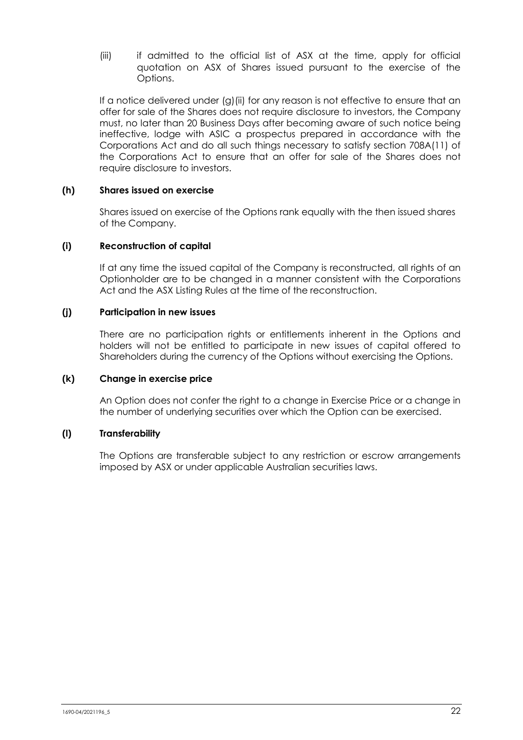(iii) if admitted to the official list of ASX at the time, apply for official quotation on ASX of Shares issued pursuant to the exercise of the Options.

If a notice delivered under [\(g\)\(ii\)](#page-19-1) for any reason is not effective to ensure that an offer for sale of the Shares does not require disclosure to investors, the Company must, no later than 20 Business Days after becoming aware of such notice being ineffective, lodge with ASIC a prospectus prepared in accordance with the Corporations Act and do all such things necessary to satisfy section 708A(11) of the Corporations Act to ensure that an offer for sale of the Shares does not require disclosure to investors.

## **(h) Shares issued on exercise**

Shares issued on exercise of the Options rank equally with the then issued shares of the Company.

## **(i) Reconstruction of capital**

If at any time the issued capital of the Company is reconstructed, all rights of an Optionholder are to be changed in a manner consistent with the Corporations Act and the ASX Listing Rules at the time of the reconstruction.

## **(j) Participation in new issues**

There are no participation rights or entitlements inherent in the Options and holders will not be entitled to participate in new issues of capital offered to Shareholders during the currency of the Options without exercising the Options.

## **(k) Change in exercise price**

An Option does not confer the right to a change in Exercise Price or a change in the number of underlying securities over which the Option can be exercised.

## **(l) Transferability**

The Options are transferable subject to any restriction or escrow arrangements imposed by ASX or under applicable Australian securities laws.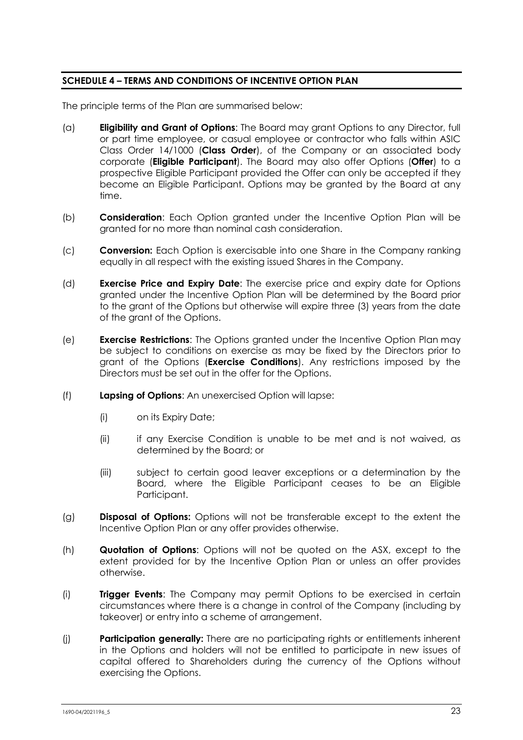## **SCHEDULE 4 – TERMS AND CONDITIONS OF INCENTIVE OPTION PLAN**

The principle terms of the Plan are summarised below:

- (a) **Eligibility and Grant of Options**: The Board may grant Options to any Director, full or part time employee, or casual employee or contractor who falls within ASIC Class Order 14/1000 (**Class Order**), of the Company or an associated body corporate (**Eligible Participant**). The Board may also offer Options (**Offer**) to a prospective Eligible Participant provided the Offer can only be accepted if they become an Eligible Participant. Options may be granted by the Board at any time.
- (b) **Consideration**: Each Option granted under the Incentive Option Plan will be granted for no more than nominal cash consideration.
- (c) **Conversion:** Each Option is exercisable into one Share in the Company ranking equally in all respect with the existing issued Shares in the Company.
- (d) **Exercise Price and Expiry Date**: The exercise price and expiry date for Options granted under the Incentive Option Plan will be determined by the Board prior to the grant of the Options but otherwise will expire three (3) years from the date of the grant of the Options.
- (e) **Exercise Restrictions**: The Options granted under the Incentive Option Plan may be subject to conditions on exercise as may be fixed by the Directors prior to grant of the Options (**Exercise Conditions**). Any restrictions imposed by the Directors must be set out in the offer for the Options.
- (f) **Lapsing of Options**: An unexercised Option will lapse:
	- (i) on its Expiry Date;
	- (ii) if any Exercise Condition is unable to be met and is not waived, as determined by the Board; or
	- (iii) subject to certain good leaver exceptions or a determination by the Board, where the Eligible Participant ceases to be an Eligible Participant.
- (g) **Disposal of Options:** Options will not be transferable except to the extent the Incentive Option Plan or any offer provides otherwise.
- (h) **Quotation of Options**: Options will not be quoted on the ASX, except to the extent provided for by the Incentive Option Plan or unless an offer provides otherwise.
- (i) **Trigger Events**: The Company may permit Options to be exercised in certain circumstances where there is a change in control of the Company (including by takeover) or entry into a scheme of arrangement.
- (j) **Participation generally:** There are no participating rights or entitlements inherent in the Options and holders will not be entitled to participate in new issues of capital offered to Shareholders during the currency of the Options without exercising the Options.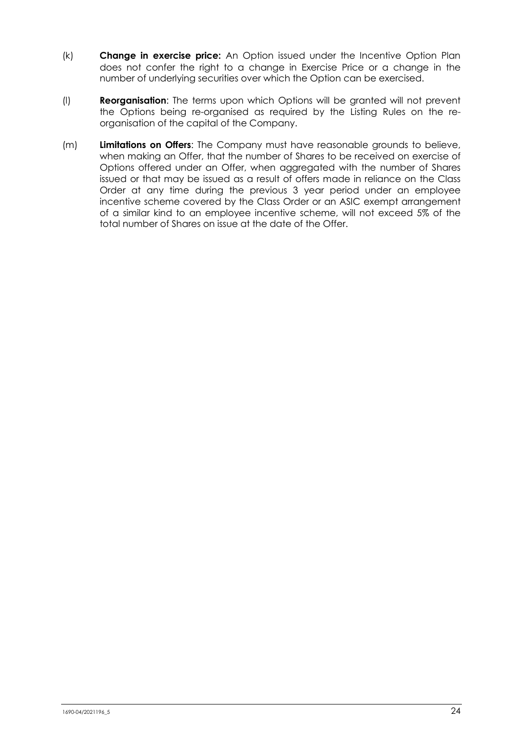- (k) **Change in exercise price:** An Option issued under the Incentive Option Plan does not confer the right to a change in Exercise Price or a change in the number of underlying securities over which the Option can be exercised.
- (l) **Reorganisation**: The terms upon which Options will be granted will not prevent the Options being re-organised as required by the Listing Rules on the reorganisation of the capital of the Company.
- (m) **Limitations on Offers**: The Company must have reasonable grounds to believe, when making an Offer, that the number of Shares to be received on exercise of Options offered under an Offer, when aggregated with the number of Shares issued or that may be issued as a result of offers made in reliance on the Class Order at any time during the previous 3 year period under an employee incentive scheme covered by the Class Order or an ASIC exempt arrangement of a similar kind to an employee incentive scheme, will not exceed 5% of the total number of Shares on issue at the date of the Offer.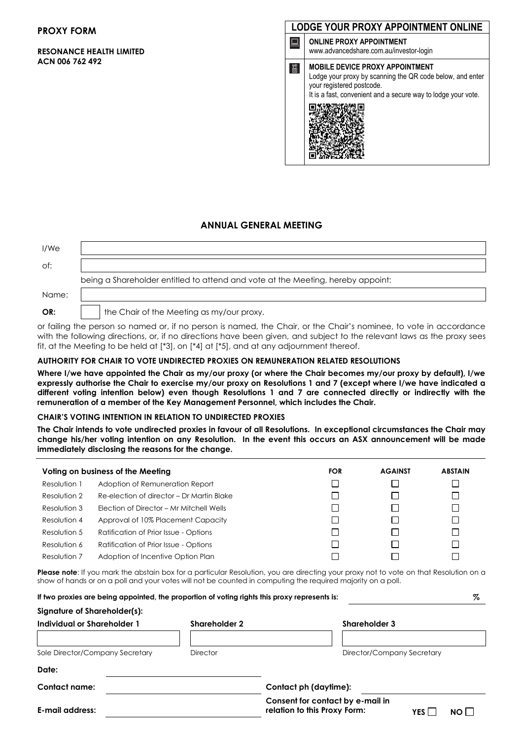#### **PROXY FORM**

#### **RESONANCE HEALTH LIMITED ACN 006 762 492**



#### **ANNUAL GENERAL MEETING**

| I/We  |                                                                                 |
|-------|---------------------------------------------------------------------------------|
| of:   |                                                                                 |
|       | being a Shareholder entitled to attend and vote at the Meeting, hereby appoint: |
| Name: |                                                                                 |
| OR:   | the Chair of the Meeting as my/our proxy.                                       |

or failing the person so named or, if no person is named, the Chair, or the Chair's nominee, to vote in accordance with the following directions, or, if no directions have been given, and subject to the relevant laws as the proxy sees fit, at the Meeting to be held at [\*3], on [\*4] at [\*5], and at any adjournment thereof.

#### **AUTHORITY FOR CHAIR TO VOTE UNDIRECTED PROXIES ON REMUNERATION RELATED RESOLUTIONS**

**Where I/we have appointed the Chair as my/our proxy (or where the Chair becomes my/our proxy by default), I/we expressly authorise the Chair to exercise my/our proxy on Resolutions 1 and 7 (except where I/we have indicated a different voting intention below) even though Resolutions 1 and 7 are connected directly or indirectly with the remuneration of a member of the Key Management Personnel, which includes the Chair.**

#### **CHAIR'S VOTING INTENTION IN RELATION TO UNDIRECTED PROXIES**

**The Chair intends to vote undirected proxies in favour of all Resolutions. In exceptional circumstances the Chair may change his/her voting intention on any Resolution. In the event this occurs an ASX announcement will be made immediately disclosing the reasons for the change.**

| Voting on business of the Meeting |                                           | <b>FOR</b> | <b>AGAINST</b> | <b>ABSTAIN</b> |
|-----------------------------------|-------------------------------------------|------------|----------------|----------------|
| Resolution 1                      | Adoption of Remuneration Report           |            |                |                |
| Resolution 2                      | Re-election of director - Dr Martin Blake |            |                |                |
| Resolution 3                      | Election of Director - Mr Mitchell Wells  |            |                |                |
| Resolution 4                      | Approval of 10% Placement Capacity        |            |                |                |
| Resolution 5                      | Ratification of Prior Issue - Options     |            |                |                |
| Resolution 6                      | Ratification of Prior Issue - Options     |            |                |                |
| Resolution 7                      | Adoption of Incentive Option Plan         |            |                |                |

Please note: If you mark the abstain box for a particular Resolution, you are directing your proxy not to vote on that Resolution on a show of hands or on a poll and your votes will not be counted in computing the required majority on a poll.

|                                 |  |                       | If two proxies are being appointed, the proportion of voting rights this proxy represents is: |                            |              | %    |
|---------------------------------|--|-----------------------|-----------------------------------------------------------------------------------------------|----------------------------|--------------|------|
| Signature of Shareholder(s):    |  |                       |                                                                                               |                            |              |      |
| Individual or Shareholder 1     |  | <b>Shareholder 2</b>  |                                                                                               | <b>Shareholder 3</b>       |              |      |
|                                 |  |                       |                                                                                               |                            |              |      |
| Sole Director/Company Secretary |  | Director              |                                                                                               | Director/Company Secretary |              |      |
| Date:                           |  |                       |                                                                                               |                            |              |      |
| Contact name:                   |  | Contact ph (daytime): |                                                                                               |                            |              |      |
| E-mail address:                 |  |                       | Consent for contact by e-mail in<br>relation to this Proxy Form:                              |                            | <b>YES</b> I | NO L |